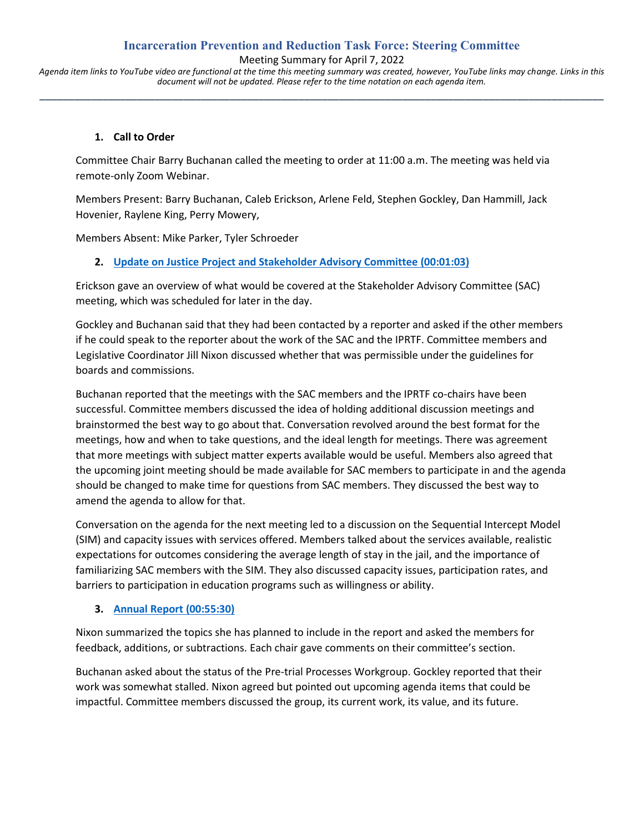# **Incarceration Prevention and Reduction Task Force: Steering Committee**

Meeting Summary for April 7, 2022

*Agenda item links to YouTube video are functional at the time this meeting summary was created, however, YouTube links may change. Links in this document will not be updated. Please refer to the time notation on each agenda item.* **\_\_\_\_\_\_\_\_\_\_\_\_\_\_\_\_\_\_\_\_\_\_\_\_\_\_\_\_\_\_\_\_\_\_\_\_\_\_\_\_\_\_\_\_\_\_\_\_\_\_\_\_\_\_\_\_\_\_\_\_\_\_\_\_\_\_\_\_\_\_\_\_\_\_\_\_\_\_\_\_\_\_\_\_\_\_\_\_\_\_\_\_\_\_\_\_\_\_**

### **1. Call to Order**

Committee Chair Barry Buchanan called the meeting to order at 11:00 a.m. The meeting was held via remote-only Zoom Webinar.

Members Present: Barry Buchanan, Caleb Erickson, Arlene Feld, Stephen Gockley, Dan Hammill, Jack Hovenier, Raylene King, Perry Mowery,

Members Absent: Mike Parker, Tyler Schroeder

# **2. [Update on Justice Project and Stakeholder Advisory Committee](https://www.youtube.com/watch?v=hkKkghK37Sw&t=63s) (00:01:03)**

Erickson gave an overview of what would be covered at the Stakeholder Advisory Committee (SAC) meeting, which was scheduled for later in the day.

Gockley and Buchanan said that they had been contacted by a reporter and asked if the other members if he could speak to the reporter about the work of the SAC and the IPRTF. Committee members and Legislative Coordinator Jill Nixon discussed whether that was permissible under the guidelines for boards and commissions.

Buchanan reported that the meetings with the SAC members and the IPRTF co-chairs have been successful. Committee members discussed the idea of holding additional discussion meetings and brainstormed the best way to go about that. Conversation revolved around the best format for the meetings, how and when to take questions, and the ideal length for meetings. There was agreement that more meetings with subject matter experts available would be useful. Members also agreed that the upcoming joint meeting should be made available for SAC members to participate in and the agenda should be changed to make time for questions from SAC members. They discussed the best way to amend the agenda to allow for that.

Conversation on the agenda for the next meeting led to a discussion on the Sequential Intercept Model (SIM) and capacity issues with services offered. Members talked about the services available, realistic expectations for outcomes considering the average length of stay in the jail, and the importance of familiarizing SAC members with the SIM. They also discussed capacity issues, participation rates, and barriers to participation in education programs such as willingness or ability.

# **3. [Annual Report](https://www.youtube.com/watch?v=hkKkghK37Sw&t=3330s) (00:55:30)**

Nixon summarized the topics she has planned to include in the report and asked the members for feedback, additions, or subtractions. Each chair gave comments on their committee's section.

Buchanan asked about the status of the Pre-trial Processes Workgroup. Gockley reported that their work was somewhat stalled. Nixon agreed but pointed out upcoming agenda items that could be impactful. Committee members discussed the group, its current work, its value, and its future.